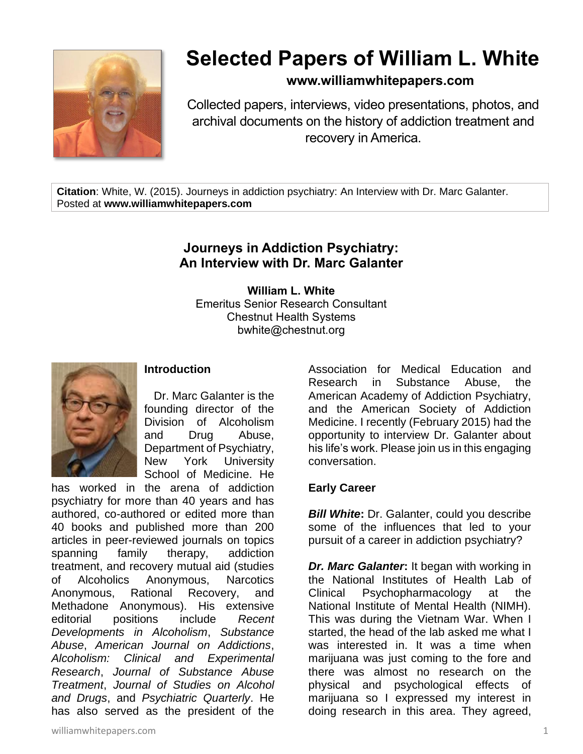

# **Selected Papers of William L. White**

## **www.williamwhitepapers.com**

Collected papers, interviews, video presentations, photos, and archival documents on the history of addiction treatment and recovery in America.

**Citation**: White, W. (2015). Journeys in addiction psychiatry: An Interview with Dr. Marc Galanter. Posted at **www.williamwhitepapers.com**

# **Journeys in Addiction Psychiatry: An Interview with Dr. Marc Galanter**

**William L. White** Emeritus Senior Research Consultant Chestnut Health Systems bwhite@chestnut.org



## **Introduction**

Dr. Marc Galanter is the founding director of the Division of Alcoholism and Drug Abuse, Department of Psychiatry, New York University School of Medicine. He

has worked in the arena of addiction psychiatry for more than 40 years and has authored, co-authored or edited more than 40 books and published more than 200 articles in peer-reviewed journals on topics spanning family therapy, addiction treatment, and recovery mutual aid (studies of Alcoholics Anonymous, Narcotics Anonymous, Rational Recovery, and Methadone Anonymous). His extensive editorial positions include *Recent Developments in Alcoholism*, *Substance Abuse*, *American Journal on Addictions*, *Alcoholism: Clinical and Experimental Research*, *Journal of Substance Abuse Treatment*, *Journal of Studies on Alcohol and Drugs*, and *Psychiatric Quarterly*. He has also served as the president of the

Association for Medical Education and Research in Substance Abuse, the American Academy of Addiction Psychiatry, and the American Society of Addiction Medicine. I recently (February 2015) had the opportunity to interview Dr. Galanter about his life's work. Please join us in this engaging conversation.

#### **Early Career**

*Bill White***:** Dr. Galanter, could you describe some of the influences that led to your pursuit of a career in addiction psychiatry?

*Dr. Marc Galanter***:** It began with working in the National Institutes of Health Lab of Clinical Psychopharmacology at the National Institute of Mental Health (NIMH). This was during the Vietnam War. When I started, the head of the lab asked me what I was interested in. It was a time when marijuana was just coming to the fore and there was almost no research on the physical and psychological effects of marijuana so I expressed my interest in doing research in this area. They agreed,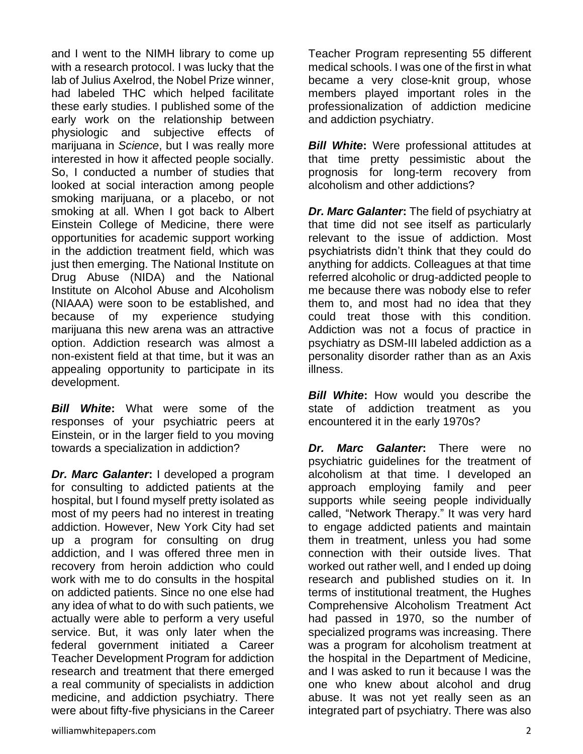and I went to the NIMH library to come up with a research protocol. I was lucky that the lab of Julius Axelrod, the Nobel Prize winner, had labeled THC which helped facilitate these early studies. I published some of the early work on the relationship between physiologic and subjective effects of marijuana in *Science*, but I was really more interested in how it affected people socially. So, I conducted a number of studies that looked at social interaction among people smoking marijuana, or a placebo, or not smoking at all. When I got back to Albert Einstein College of Medicine, there were opportunities for academic support working in the addiction treatment field, which was just then emerging. The National Institute on Drug Abuse (NIDA) and the National Institute on Alcohol Abuse and Alcoholism (NIAAA) were soon to be established, and because of my experience studying marijuana this new arena was an attractive option. Addiction research was almost a non-existent field at that time, but it was an appealing opportunity to participate in its development.

*Bill White***:** What were some of the responses of your psychiatric peers at Einstein, or in the larger field to you moving towards a specialization in addiction?

*Dr. Marc Galanter***:** I developed a program for consulting to addicted patients at the hospital, but I found myself pretty isolated as most of my peers had no interest in treating addiction. However, New York City had set up a program for consulting on drug addiction, and I was offered three men in recovery from heroin addiction who could work with me to do consults in the hospital on addicted patients. Since no one else had any idea of what to do with such patients, we actually were able to perform a very useful service. But, it was only later when the federal government initiated a Career Teacher Development Program for addiction research and treatment that there emerged a real community of specialists in addiction medicine, and addiction psychiatry. There were about fifty-five physicians in the Career

Teacher Program representing 55 different medical schools. I was one of the first in what became a very close-knit group, whose members played important roles in the professionalization of addiction medicine and addiction psychiatry.

*Bill White***:** Were professional attitudes at that time pretty pessimistic about the prognosis for long-term recovery from alcoholism and other addictions?

*Dr. Marc Galanter***:** The field of psychiatry at that time did not see itself as particularly relevant to the issue of addiction. Most psychiatrists didn't think that they could do anything for addicts. Colleagues at that time referred alcoholic or drug-addicted people to me because there was nobody else to refer them to, and most had no idea that they could treat those with this condition. Addiction was not a focus of practice in psychiatry as DSM-III labeled addiction as a personality disorder rather than as an Axis illness.

*Bill White*: How would you describe the state of addiction treatment as you encountered it in the early 1970s?

*Dr. Marc Galanter***:** There were no psychiatric guidelines for the treatment of alcoholism at that time. I developed an approach employing family and peer supports while seeing people individually called, "Network Therapy." It was very hard to engage addicted patients and maintain them in treatment, unless you had some connection with their outside lives. That worked out rather well, and I ended up doing research and published studies on it. In terms of institutional treatment, the Hughes Comprehensive Alcoholism Treatment Act had passed in 1970, so the number of specialized programs was increasing. There was a program for alcoholism treatment at the hospital in the Department of Medicine, and I was asked to run it because I was the one who knew about alcohol and drug abuse. It was not yet really seen as an integrated part of psychiatry. There was also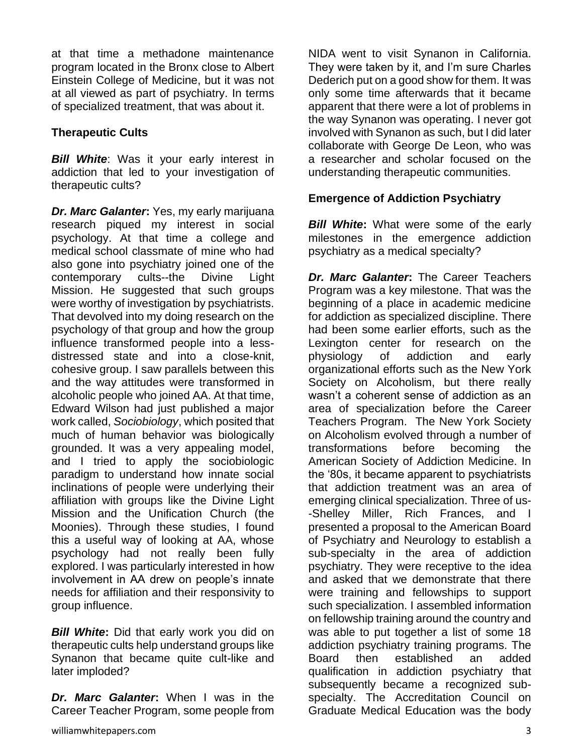at that time a methadone maintenance program located in the Bronx close to Albert Einstein College of Medicine, but it was not at all viewed as part of psychiatry. In terms of specialized treatment, that was about it.

## **Therapeutic Cults**

**Bill White:** Was it your early interest in addiction that led to your investigation of therapeutic cults?

*Dr. Marc Galanter***:** Yes, my early marijuana research piqued my interest in social psychology. At that time a college and medical school classmate of mine who had also gone into psychiatry joined one of the contemporary cults--the Divine Light Mission. He suggested that such groups were worthy of investigation by psychiatrists. That devolved into my doing research on the psychology of that group and how the group influence transformed people into a lessdistressed state and into a close-knit, cohesive group. I saw parallels between this and the way attitudes were transformed in alcoholic people who joined AA. At that time, Edward Wilson had just published a major work called, *Sociobiology*, which posited that much of human behavior was biologically grounded. It was a very appealing model, and I tried to apply the sociobiologic paradigm to understand how innate social inclinations of people were underlying their affiliation with groups like the Divine Light Mission and the Unification Church (the Moonies). Through these studies, I found this a useful way of looking at AA, whose psychology had not really been fully explored. I was particularly interested in how involvement in AA drew on people's innate needs for affiliation and their responsivity to group influence.

*Bill White***:** Did that early work you did on therapeutic cults help understand groups like Synanon that became quite cult-like and later imploded?

*Dr. Marc Galanter***:** When I was in the Career Teacher Program, some people from NIDA went to visit Synanon in California. They were taken by it, and I'm sure Charles Dederich put on a good show for them. It was only some time afterwards that it became apparent that there were a lot of problems in the way Synanon was operating. I never got involved with Synanon as such, but I did later collaborate with George De Leon, who was a researcher and scholar focused on the understanding therapeutic communities.

## **Emergence of Addiction Psychiatry**

**Bill White:** What were some of the early milestones in the emergence addiction psychiatry as a medical specialty?

*Dr. Marc Galanter***:** The Career Teachers Program was a key milestone. That was the beginning of a place in academic medicine for addiction as specialized discipline. There had been some earlier efforts, such as the Lexington center for research on the physiology of addiction and early organizational efforts such as the New York Society on Alcoholism, but there really wasn't a coherent sense of addiction as an area of specialization before the Career Teachers Program. The New York Society on Alcoholism evolved through a number of transformations before becoming the American Society of Addiction Medicine. In the '80s, it became apparent to psychiatrists that addiction treatment was an area of emerging clinical specialization. Three of us- -Shelley Miller, Rich Frances, and I presented a proposal to the American Board of Psychiatry and Neurology to establish a sub-specialty in the area of addiction psychiatry. They were receptive to the idea and asked that we demonstrate that there were training and fellowships to support such specialization. I assembled information on fellowship training around the country and was able to put together a list of some 18 addiction psychiatry training programs. The Board then established an added qualification in addiction psychiatry that subsequently became a recognized subspecialty. The Accreditation Council on Graduate Medical Education was the body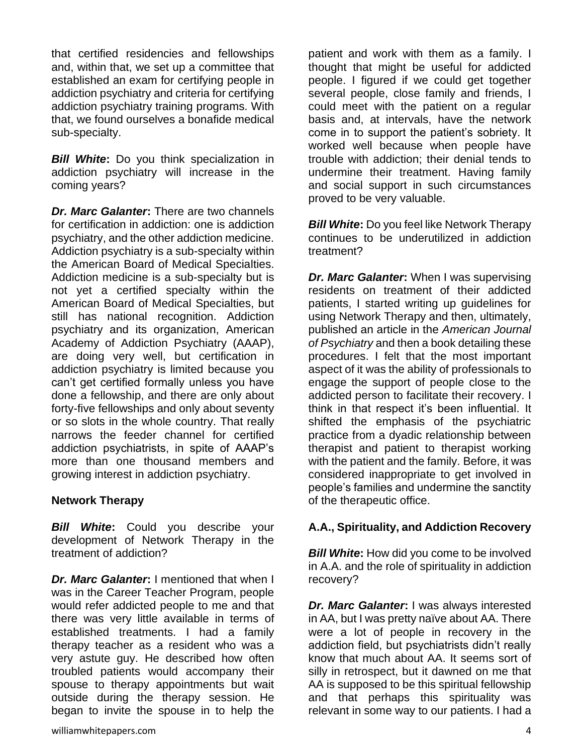that certified residencies and fellowships and, within that, we set up a committee that established an exam for certifying people in addiction psychiatry and criteria for certifying addiction psychiatry training programs. With that, we found ourselves a bonafide medical sub-specialty.

*Bill White***:** Do you think specialization in addiction psychiatry will increase in the coming years?

*Dr. Marc Galanter***:** There are two channels for certification in addiction: one is addiction psychiatry, and the other addiction medicine. Addiction psychiatry is a sub-specialty within the American Board of Medical Specialties. Addiction medicine is a sub-specialty but is not yet a certified specialty within the American Board of Medical Specialties, but still has national recognition. Addiction psychiatry and its organization, American Academy of Addiction Psychiatry (AAAP), are doing very well, but certification in addiction psychiatry is limited because you can't get certified formally unless you have done a fellowship, and there are only about forty-five fellowships and only about seventy or so slots in the whole country. That really narrows the feeder channel for certified addiction psychiatrists, in spite of AAAP's more than one thousand members and growing interest in addiction psychiatry.

#### **Network Therapy**

*Bill White***:** Could you describe your development of Network Therapy in the treatment of addiction?

*Dr. Marc Galanter***:** I mentioned that when I was in the Career Teacher Program, people would refer addicted people to me and that there was very little available in terms of established treatments. I had a family therapy teacher as a resident who was a very astute guy. He described how often troubled patients would accompany their spouse to therapy appointments but wait outside during the therapy session. He began to invite the spouse in to help the

patient and work with them as a family. I thought that might be useful for addicted people. I figured if we could get together several people, close family and friends, I could meet with the patient on a regular basis and, at intervals, have the network come in to support the patient's sobriety. It worked well because when people have trouble with addiction; their denial tends to undermine their treatment. Having family and social support in such circumstances proved to be very valuable.

*Bill White***:** Do you feel like Network Therapy continues to be underutilized in addiction treatment?

*Dr. Marc Galanter***:** When I was supervising residents on treatment of their addicted patients, I started writing up guidelines for using Network Therapy and then, ultimately, published an article in the *American Journal of Psychiatry* and then a book detailing these procedures. I felt that the most important aspect of it was the ability of professionals to engage the support of people close to the addicted person to facilitate their recovery. I think in that respect it's been influential. It shifted the emphasis of the psychiatric practice from a dyadic relationship between therapist and patient to therapist working with the patient and the family. Before, it was considered inappropriate to get involved in people's families and undermine the sanctity of the therapeutic office.

#### **A.A., Spirituality, and Addiction Recovery**

*Bill White:* How did you come to be involved in A.A. and the role of spirituality in addiction recovery?

*Dr. Marc Galanter***:** I was always interested in AA, but I was pretty naïve about AA. There were a lot of people in recovery in the addiction field, but psychiatrists didn't really know that much about AA. It seems sort of silly in retrospect, but it dawned on me that AA is supposed to be this spiritual fellowship and that perhaps this spirituality was relevant in some way to our patients. I had a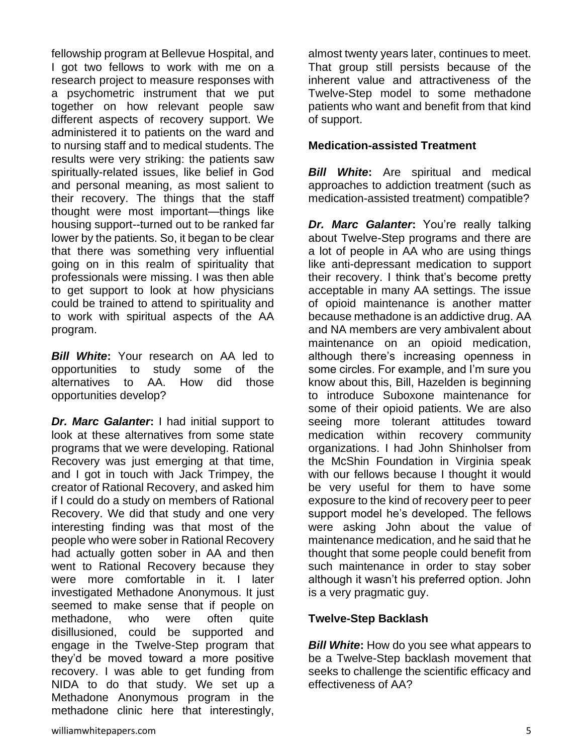fellowship program at Bellevue Hospital, and I got two fellows to work with me on a research project to measure responses with a psychometric instrument that we put together on how relevant people saw different aspects of recovery support. We administered it to patients on the ward and to nursing staff and to medical students. The results were very striking: the patients saw spiritually-related issues, like belief in God and personal meaning, as most salient to their recovery. The things that the staff thought were most important—things like housing support--turned out to be ranked far lower by the patients. So, it began to be clear that there was something very influential going on in this realm of spirituality that professionals were missing. I was then able to get support to look at how physicians could be trained to attend to spirituality and to work with spiritual aspects of the AA program.

*Bill White***:** Your research on AA led to opportunities to study some of the alternatives to AA. How did those opportunities develop?

*Dr. Marc Galanter***:** I had initial support to look at these alternatives from some state programs that we were developing. Rational Recovery was just emerging at that time, and I got in touch with Jack Trimpey, the creator of Rational Recovery, and asked him if I could do a study on members of Rational Recovery. We did that study and one very interesting finding was that most of the people who were sober in Rational Recovery had actually gotten sober in AA and then went to Rational Recovery because they were more comfortable in it. I later investigated Methadone Anonymous. It just seemed to make sense that if people on methadone, who were often quite disillusioned, could be supported and engage in the Twelve-Step program that they'd be moved toward a more positive recovery. I was able to get funding from NIDA to do that study. We set up a Methadone Anonymous program in the methadone clinic here that interestingly,

almost twenty years later, continues to meet. That group still persists because of the inherent value and attractiveness of the Twelve-Step model to some methadone patients who want and benefit from that kind of support.

#### **Medication-assisted Treatment**

*Bill White***:** Are spiritual and medical approaches to addiction treatment (such as medication-assisted treatment) compatible?

*Dr. Marc Galanter***:** You're really talking about Twelve-Step programs and there are a lot of people in AA who are using things like anti-depressant medication to support their recovery. I think that's become pretty acceptable in many AA settings. The issue of opioid maintenance is another matter because methadone is an addictive drug. AA and NA members are very ambivalent about maintenance on an opioid medication, although there's increasing openness in some circles. For example, and I'm sure you know about this, Bill, Hazelden is beginning to introduce Suboxone maintenance for some of their opioid patients. We are also seeing more tolerant attitudes toward medication within recovery community organizations. I had John Shinholser from the McShin Foundation in Virginia speak with our fellows because I thought it would be very useful for them to have some exposure to the kind of recovery peer to peer support model he's developed. The fellows were asking John about the value of maintenance medication, and he said that he thought that some people could benefit from such maintenance in order to stay sober although it wasn't his preferred option. John is a very pragmatic guy.

## **Twelve-Step Backlash**

*Bill White***:** How do you see what appears to be a Twelve-Step backlash movement that seeks to challenge the scientific efficacy and effectiveness of AA?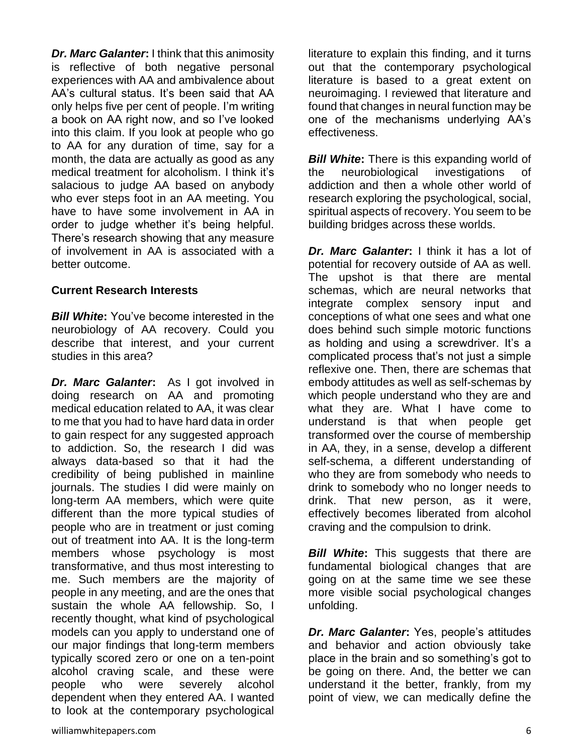*Dr. Marc Galanter***: I think that this animosity** is reflective of both negative personal experiences with AA and ambivalence about AA's cultural status. It's been said that AA only helps five per cent of people. I'm writing a book on AA right now, and so I've looked into this claim. If you look at people who go to AA for any duration of time, say for a month, the data are actually as good as any medical treatment for alcoholism. I think it's salacious to judge AA based on anybody who ever steps foot in an AA meeting. You have to have some involvement in AA in order to judge whether it's being helpful. There's research showing that any measure of involvement in AA is associated with a better outcome.

#### **Current Research Interests**

*Bill White***:** You've become interested in the neurobiology of AA recovery. Could you describe that interest, and your current studies in this area?

*Dr. Marc Galanter***:** As I got involved in doing research on AA and promoting medical education related to AA, it was clear to me that you had to have hard data in order to gain respect for any suggested approach to addiction. So, the research I did was always data-based so that it had the credibility of being published in mainline journals. The studies I did were mainly on long-term AA members, which were quite different than the more typical studies of people who are in treatment or just coming out of treatment into AA. It is the long-term members whose psychology is most transformative, and thus most interesting to me. Such members are the majority of people in any meeting, and are the ones that sustain the whole AA fellowship. So, I recently thought, what kind of psychological models can you apply to understand one of our major findings that long-term members typically scored zero or one on a ten-point alcohol craving scale, and these were people who were severely alcohol dependent when they entered AA. I wanted to look at the contemporary psychological

literature to explain this finding, and it turns out that the contemporary psychological literature is based to a great extent on neuroimaging. I reviewed that literature and found that changes in neural function may be one of the mechanisms underlying AA's effectiveness.

*Bill White***:** There is this expanding world of the neurobiological investigations of addiction and then a whole other world of research exploring the psychological, social, spiritual aspects of recovery. You seem to be building bridges across these worlds.

*Dr. Marc Galanter***:** I think it has a lot of potential for recovery outside of AA as well. The upshot is that there are mental schemas, which are neural networks that integrate complex sensory input and conceptions of what one sees and what one does behind such simple motoric functions as holding and using a screwdriver. It's a complicated process that's not just a simple reflexive one. Then, there are schemas that embody attitudes as well as self-schemas by which people understand who they are and what they are. What I have come to understand is that when people get transformed over the course of membership in AA, they, in a sense, develop a different self-schema, a different understanding of who they are from somebody who needs to drink to somebody who no longer needs to drink. That new person, as it were, effectively becomes liberated from alcohol craving and the compulsion to drink.

*Bill White*: This suggests that there are fundamental biological changes that are going on at the same time we see these more visible social psychological changes unfolding.

*Dr. Marc Galanter***:** Yes, people's attitudes and behavior and action obviously take place in the brain and so something's got to be going on there. And, the better we can understand it the better, frankly, from my point of view, we can medically define the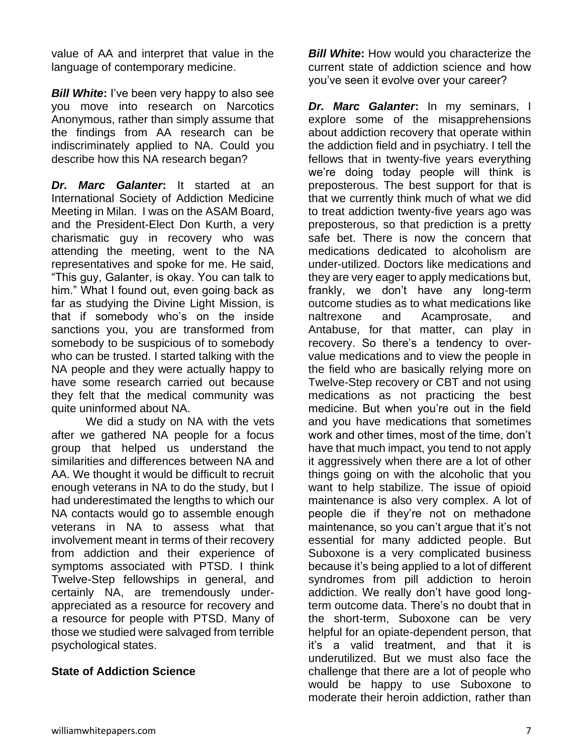value of AA and interpret that value in the language of contemporary medicine.

*Bill White***:** I've been very happy to also see you move into research on Narcotics Anonymous, rather than simply assume that the findings from AA research can be indiscriminately applied to NA. Could you describe how this NA research began?

*Dr. Marc Galanter***:** It started at an International Society of Addiction Medicine Meeting in Milan. I was on the ASAM Board, and the President-Elect Don Kurth, a very charismatic guy in recovery who was attending the meeting, went to the NA representatives and spoke for me. He said, "This guy, Galanter, is okay. You can talk to him." What I found out, even going back as far as studying the Divine Light Mission, is that if somebody who's on the inside sanctions you, you are transformed from somebody to be suspicious of to somebody who can be trusted. I started talking with the NA people and they were actually happy to have some research carried out because they felt that the medical community was quite uninformed about NA.

We did a study on NA with the vets after we gathered NA people for a focus group that helped us understand the similarities and differences between NA and AA. We thought it would be difficult to recruit enough veterans in NA to do the study, but I had underestimated the lengths to which our NA contacts would go to assemble enough veterans in NA to assess what that involvement meant in terms of their recovery from addiction and their experience of symptoms associated with PTSD. I think Twelve-Step fellowships in general, and certainly NA, are tremendously underappreciated as a resource for recovery and a resource for people with PTSD. Many of those we studied were salvaged from terrible psychological states.

## **State of Addiction Science**

*Bill White:* How would you characterize the current state of addiction science and how you've seen it evolve over your career?

*Dr. Marc Galanter***:** In my seminars, I explore some of the misapprehensions about addiction recovery that operate within the addiction field and in psychiatry. I tell the fellows that in twenty-five years everything we're doing today people will think is preposterous. The best support for that is that we currently think much of what we did to treat addiction twenty-five years ago was preposterous, so that prediction is a pretty safe bet. There is now the concern that medications dedicated to alcoholism are under-utilized. Doctors like medications and they are very eager to apply medications but, frankly, we don't have any long-term outcome studies as to what medications like naltrexone and Acamprosate, and Antabuse, for that matter, can play in recovery. So there's a tendency to overvalue medications and to view the people in the field who are basically relying more on Twelve-Step recovery or CBT and not using medications as not practicing the best medicine. But when you're out in the field and you have medications that sometimes work and other times, most of the time, don't have that much impact, you tend to not apply it aggressively when there are a lot of other things going on with the alcoholic that you want to help stabilize. The issue of opioid maintenance is also very complex. A lot of people die if they're not on methadone maintenance, so you can't argue that it's not essential for many addicted people. But Suboxone is a very complicated business because it's being applied to a lot of different syndromes from pill addiction to heroin addiction. We really don't have good longterm outcome data. There's no doubt that in the short-term, Suboxone can be very helpful for an opiate-dependent person, that it's a valid treatment, and that it is underutilized. But we must also face the challenge that there are a lot of people who would be happy to use Suboxone to moderate their heroin addiction, rather than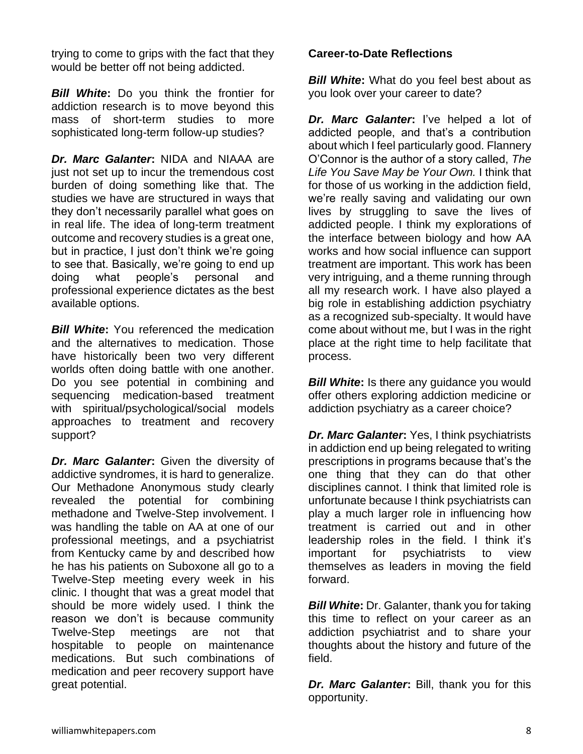trying to come to grips with the fact that they would be better off not being addicted.

*Bill White***:** Do you think the frontier for addiction research is to move beyond this mass of short-term studies to more sophisticated long-term follow-up studies?

*Dr. Marc Galanter***:** NIDA and NIAAA are just not set up to incur the tremendous cost burden of doing something like that. The studies we have are structured in ways that they don't necessarily parallel what goes on in real life. The idea of long-term treatment outcome and recovery studies is a great one, but in practice, I just don't think we're going to see that. Basically, we're going to end up doing what people's personal and professional experience dictates as the best available options.

**Bill White:** You referenced the medication and the alternatives to medication. Those have historically been two very different worlds often doing battle with one another. Do you see potential in combining and sequencing medication-based treatment with spiritual/psychological/social models approaches to treatment and recovery support?

*Dr. Marc Galanter***:** Given the diversity of addictive syndromes, it is hard to generalize. Our Methadone Anonymous study clearly revealed the potential for combining methadone and Twelve-Step involvement. I was handling the table on AA at one of our professional meetings, and a psychiatrist from Kentucky came by and described how he has his patients on Suboxone all go to a Twelve-Step meeting every week in his clinic. I thought that was a great model that should be more widely used. I think the reason we don't is because community Twelve-Step meetings are not that hospitable to people on maintenance medications. But such combinations of medication and peer recovery support have great potential.

#### **Career-to-Date Reflections**

*Bill White:* What do you feel best about as you look over your career to date?

*Dr. Marc Galanter***:** I've helped a lot of addicted people, and that's a contribution about which I feel particularly good. Flannery O'Connor is the author of a story called, *The Life You Save May be Your Own.* I think that for those of us working in the addiction field, we're really saving and validating our own lives by struggling to save the lives of addicted people. I think my explorations of the interface between biology and how AA works and how social influence can support treatment are important. This work has been very intriguing, and a theme running through all my research work. I have also played a big role in establishing addiction psychiatry as a recognized sub-specialty. It would have come about without me, but I was in the right place at the right time to help facilitate that process.

**Bill White:** Is there any guidance you would offer others exploring addiction medicine or addiction psychiatry as a career choice?

*Dr. Marc Galanter***:** Yes, I think psychiatrists in addiction end up being relegated to writing prescriptions in programs because that's the one thing that they can do that other disciplines cannot. I think that limited role is unfortunate because I think psychiatrists can play a much larger role in influencing how treatment is carried out and in other leadership roles in the field. I think it's important for psychiatrists to view themselves as leaders in moving the field forward.

*Bill White***:** Dr. Galanter, thank you for taking this time to reflect on your career as an addiction psychiatrist and to share your thoughts about the history and future of the field.

*Dr. Marc Galanter***:** Bill, thank you for this opportunity.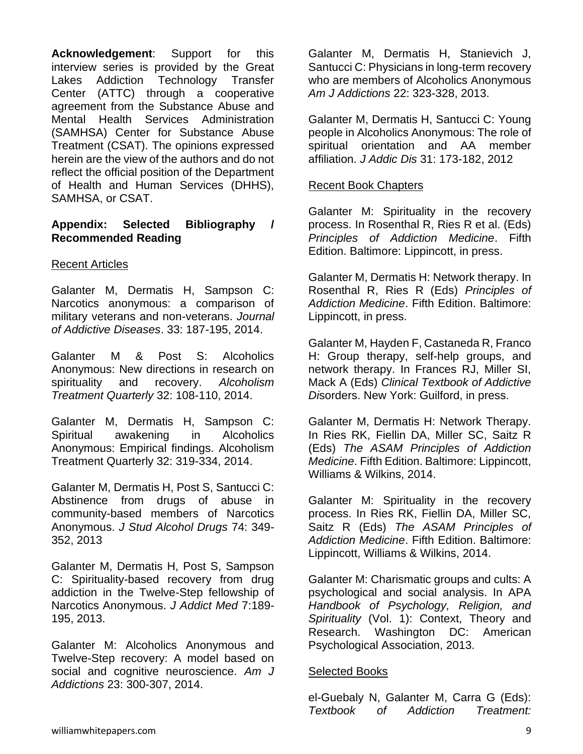**Acknowledgement**: Support for this interview series is provided by the Great Lakes Addiction Technology Transfer Center (ATTC) through a cooperative agreement from the Substance Abuse and Mental Health Services Administration (SAMHSA) Center for Substance Abuse Treatment (CSAT). The opinions expressed herein are the view of the authors and do not reflect the official position of the Department of Health and Human Services (DHHS), SAMHSA, or CSAT.

#### **Appendix: Selected Bibliography / Recommended Reading**

#### Recent Articles

Galanter M, Dermatis H, Sampson C: Narcotics anonymous: a comparison of military veterans and non-veterans. *Journal of Addictive Diseases*. 33: 187-195, 2014.

Galanter M & Post S: Alcoholics Anonymous: New directions in research on spirituality and recovery. *Alcoholism Treatment Quarterly* 32: 108-110, 2014.

Galanter M, Dermatis H, Sampson C: Spiritual awakening in Alcoholics Anonymous: Empirical findings. Alcoholism Treatment Quarterly 32: 319-334, 2014.

Galanter M, Dermatis H, Post S, Santucci C: Abstinence from drugs of abuse in community-based members of Narcotics Anonymous. *J Stud Alcohol Drugs* 74: 349- 352, 2013

Galanter M, Dermatis H, Post S, Sampson C: Spirituality-based recovery from drug addiction in the Twelve-Step fellowship of Narcotics Anonymous. *J Addict Med* 7:189- 195, 2013.

Galanter M: Alcoholics Anonymous and Twelve-Step recovery: A model based on social and cognitive neuroscience. *Am J Addictions* 23: 300-307, 2014.

Galanter M, Dermatis H, Stanievich J, Santucci C: Physicians in long-term recovery who are members of Alcoholics Anonymous *Am J Addictions* 22: 323-328, 2013.

Galanter M, Dermatis H, Santucci C: Young people in Alcoholics Anonymous: The role of spiritual orientation and AA member affiliation. *J Addic Dis* 31: 173-182, 2012

#### Recent Book Chapters

Galanter M: Spirituality in the recovery process. In Rosenthal R, Ries R et al. (Eds) *Principles of Addiction Medicine*. Fifth Edition. Baltimore: Lippincott, in press.

Galanter M, Dermatis H: Network therapy. In Rosenthal R, Ries R (Eds) *Principles of Addiction Medicine*. Fifth Edition. Baltimore: Lippincott, in press.

Galanter M, Hayden F, Castaneda R, Franco H: Group therapy, self-help groups, and network therapy. In Frances RJ, Miller SI, Mack A (Eds) *Clinical Textbook of Addictive Di*sorders. New York: Guilford, in press.

Galanter M, Dermatis H: Network Therapy. In Ries RK, Fiellin DA, Miller SC, Saitz R (Eds) *The ASAM Principles of Addiction Medicine*. Fifth Edition. Baltimore: Lippincott, Williams & Wilkins, 2014.

Galanter M: Spirituality in the recovery process. In Ries RK, Fiellin DA, Miller SC, Saitz R (Eds) *The ASAM Principles of Addiction Medicine*. Fifth Edition. Baltimore: Lippincott, Williams & Wilkins, 2014.

Galanter M: Charismatic groups and cults: A psychological and social analysis. In APA *Handbook of Psychology, Religion, and Spirituality* (Vol. 1): Context, Theory and Research. Washington DC: American Psychological Association, 2013.

#### Selected Books

el-Guebaly N, Galanter M, Carra G (Eds): *Textbook of Addiction Treatment:*